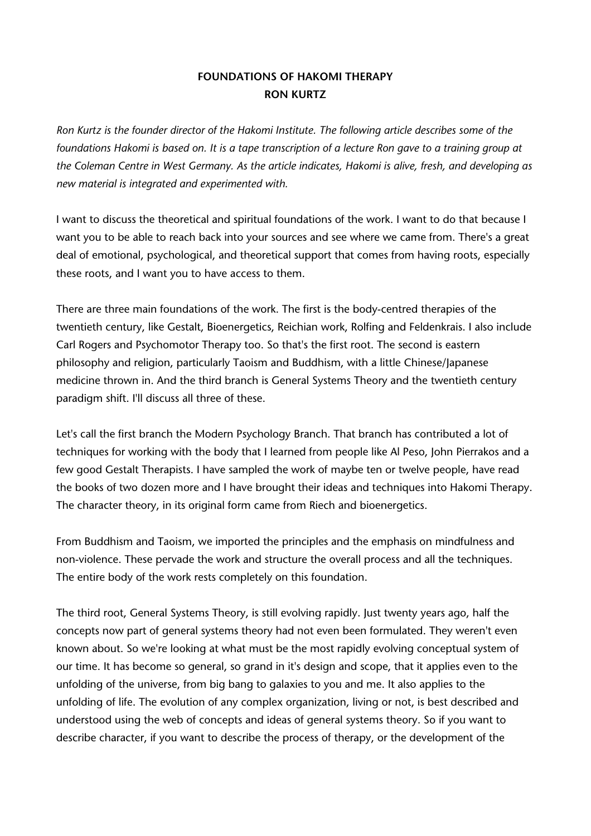## **FOUNDATIONS OF HAKOMI THERAPY RON KURTZ**

*Ron Kurtz is the founder director of the Hakomi Institute. The following article describes some of the foundations Hakomi is based on. It is a tape transcription of a lecture Ron gave to a training group at the Coleman Centre in West Germany. As the article indicates, Hakomi is alive, fresh, and developing as new material is integrated and experimented with.*

I want to discuss the theoretical and spiritual foundations of the work. I want to do that because I want you to be able to reach back into your sources and see where we came from. There's a great deal of emotional, psychological, and theoretical support that comes from having roots, especially these roots, and I want you to have access to them.

There are three main foundations of the work. The first is the body-centred therapies of the twentieth century, like Gestalt, Bioenergetics, Reichian work, Rolfing and Feldenkrais. I also include Carl Rogers and Psychomotor Therapy too. So that's the first root. The second is eastern philosophy and religion, particularly Taoism and Buddhism, with a little Chinese/Japanese medicine thrown in. And the third branch is General Systems Theory and the twentieth century paradigm shift. I'll discuss all three of these.

Let's call the first branch the Modern Psychology Branch. That branch has contributed a lot of techniques for working with the body that I learned from people like Al Peso, John Pierrakos and a few good Gestalt Therapists. I have sampled the work of maybe ten or twelve people, have read the books of two dozen more and I have brought their ideas and techniques into Hakomi Therapy. The character theory, in its original form came from Riech and bioenergetics.

From Buddhism and Taoism, we imported the principles and the emphasis on mindfulness and non-violence. These pervade the work and structure the overall process and all the techniques. The entire body of the work rests completely on this foundation.

The third root, General Systems Theory, is still evolving rapidly. Just twenty years ago, half the concepts now part of general systems theory had not even been formulated. They weren't even known about. So we're looking at what must be the most rapidly evolving conceptual system of our time. It has become so general, so grand in it's design and scope, that it applies even to the unfolding of the universe, from big bang to galaxies to you and me. It also applies to the unfolding of life. The evolution of any complex organization, living or not, is best described and understood using the web of concepts and ideas of general systems theory. So if you want to describe character, if you want to describe the process of therapy, or the development of the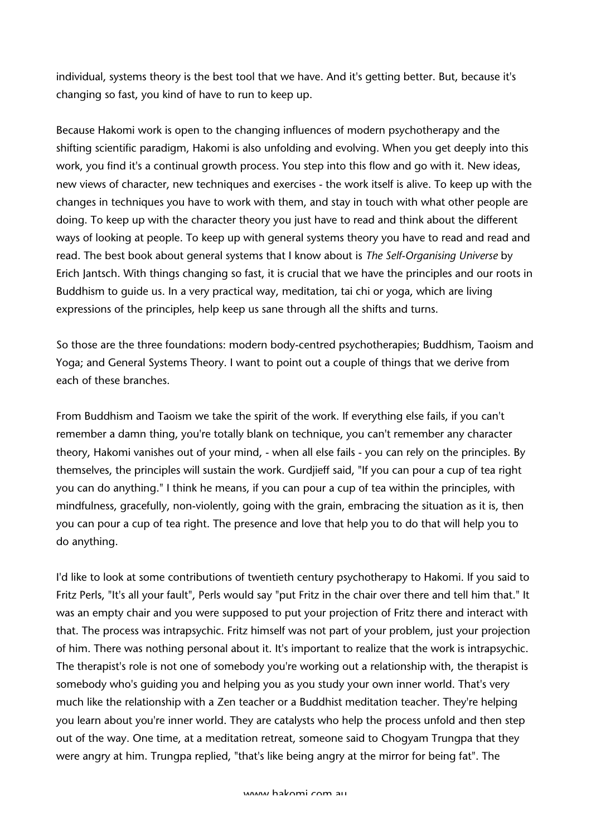individual, systems theory is the best tool that we have. And it's getting better. But, because it's changing so fast, you kind of have to run to keep up.

Because Hakomi work is open to the changing influences of modern psychotherapy and the shifting scientific paradigm, Hakomi is also unfolding and evolving. When you get deeply into this work, you find it's a continual growth process. You step into this flow and go with it. New ideas, new views of character, new techniques and exercises - the work itself is alive. To keep up with the changes in techniques you have to work with them, and stay in touch with what other people are doing. To keep up with the character theory you just have to read and think about the different ways of looking at people. To keep up with general systems theory you have to read and read and read. The best book about general systems that I know about is *The Self-Organising Universe* by Erich Jantsch. With things changing so fast, it is crucial that we have the principles and our roots in Buddhism to guide us. In a very practical way, meditation, tai chi or yoga, which are living expressions of the principles, help keep us sane through all the shifts and turns.

So those are the three foundations: modern body-centred psychotherapies; Buddhism, Taoism and Yoga; and General Systems Theory. I want to point out a couple of things that we derive from each of these branches.

From Buddhism and Taoism we take the spirit of the work. If everything else fails, if you can't remember a damn thing, you're totally blank on technique, you can't remember any character theory, Hakomi vanishes out of your mind, - when all else fails - you can rely on the principles. By themselves, the principles will sustain the work. Gurdjieff said, "If you can pour a cup of tea right you can do anything." I think he means, if you can pour a cup of tea within the principles, with mindfulness, gracefully, non-violently, going with the grain, embracing the situation as it is, then you can pour a cup of tea right. The presence and love that help you to do that will help you to do anything.

I'd like to look at some contributions of twentieth century psychotherapy to Hakomi. If you said to Fritz Perls, "It's all your fault", Perls would say "put Fritz in the chair over there and tell him that." It was an empty chair and you were supposed to put your projection of Fritz there and interact with that. The process was intrapsychic. Fritz himself was not part of your problem, just your projection of him. There was nothing personal about it. It's important to realize that the work is intrapsychic. The therapist's role is not one of somebody you're working out a relationship with, the therapist is somebody who's guiding you and helping you as you study your own inner world. That's very much like the relationship with a Zen teacher or a Buddhist meditation teacher. They're helping you learn about you're inner world. They are catalysts who help the process unfold and then step out of the way. One time, at a meditation retreat, someone said to Chogyam Trungpa that they were angry at him. Trungpa replied, "that's like being angry at the mirror for being fat". The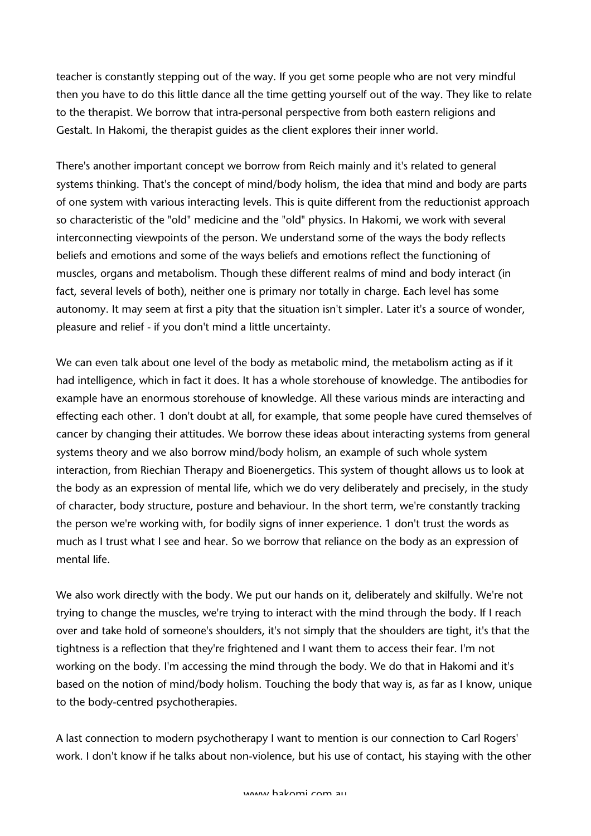teacher is constantly stepping out of the way. If you get some people who are not very mindful then you have to do this little dance all the time getting yourself out of the way. They like to relate to the therapist. We borrow that intra-personal perspective from both eastern religions and Gestalt. In Hakomi, the therapist guides as the client explores their inner world.

There's another important concept we borrow from Reich mainly and it's related to general systems thinking. That's the concept of mind/body holism, the idea that mind and body are parts of one system with various interacting levels. This is quite different from the reductionist approach so characteristic of the "old" medicine and the "old" physics. In Hakomi, we work with several interconnecting viewpoints of the person. We understand some of the ways the body reflects beliefs and emotions and some of the ways beliefs and emotions reflect the functioning of muscles, organs and metabolism. Though these different realms of mind and body interact (in fact, several levels of both), neither one is primary nor totally in charge. Each level has some autonomy. It may seem at first a pity that the situation isn't simpler. Later it's a source of wonder, pleasure and relief - if you don't mind a little uncertainty.

We can even talk about one level of the body as metabolic mind, the metabolism acting as if it had intelligence, which in fact it does. It has a whole storehouse of knowledge. The antibodies for example have an enormous storehouse of knowledge. All these various minds are interacting and effecting each other. 1 don't doubt at all, for example, that some people have cured themselves of cancer by changing their attitudes. We borrow these ideas about interacting systems from general systems theory and we also borrow mind/body holism, an example of such whole system interaction, from Riechian Therapy and Bioenergetics. This system of thought allows us to look at the body as an expression of mental life, which we do very deliberately and precisely, in the study of character, body structure, posture and behaviour. In the short term, we're constantly tracking the person we're working with, for bodily signs of inner experience. 1 don't trust the words as much as I trust what I see and hear. So we borrow that reliance on the body as an expression of mental Iife.

We also work directly with the body. We put our hands on it, deliberately and skilfully. We're not trying to change the muscles, we're trying to interact with the mind through the body. If I reach over and take hold of someone's shoulders, it's not simply that the shoulders are tight, it's that the tightness is a reflection that they're frightened and I want them to access their fear. I'm not working on the body. I'm accessing the mind through the body. We do that in Hakomi and it's based on the notion of mind/body holism. Touching the body that way is, as far as I know, unique to the body-centred psychotherapies.

A last connection to modern psychotherapy I want to mention is our connection to Carl Rogers' work. I don't know if he talks about non-violence, but his use of contact, his staying with the other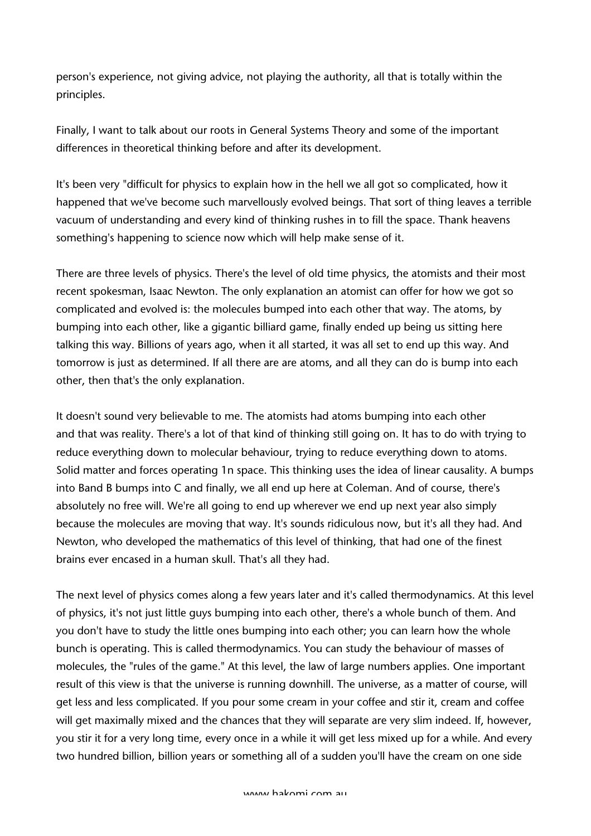person's experience, not giving advice, not playing the authority, all that is totally within the principles.

Finally, I want to talk about our roots in General Systems Theory and some of the important differences in theoretical thinking before and after its development.

It's been very "difficult for physics to explain how in the hell we all got so complicated, how it happened that we've become such marvellously evolved beings. That sort of thing leaves a terrible vacuum of understanding and every kind of thinking rushes in to fill the space. Thank heavens something's happening to science now which will help make sense of it.

There are three levels of physics. There's the level of old time physics, the atomists and their most recent spokesman, Isaac Newton. The only explanation an atomist can offer for how we got so complicated and evolved is: the molecules bumped into each other that way. The atoms, by bumping into each other, like a gigantic billiard game, finally ended up being us sitting here talking this way. Billions of years ago, when it all started, it was all set to end up this way. And tomorrow is just as determined. If all there are are atoms, and all they can do is bump into each other, then that's the only explanation.

It doesn't sound very believable to me. The atomists had atoms bumping into each other and that was reality. There's a lot of that kind of thinking still going on. It has to do with trying to reduce everything down to molecular behaviour, trying to reduce everything down to atoms. Solid matter and forces operating 1n space. This thinking uses the idea of linear causality. A bumps into Band B bumps into C and finally, we all end up here at Coleman. And of course, there's absolutely no free will. We're all going to end up wherever we end up next year also simply because the molecules are moving that way. It's sounds ridiculous now, but it's all they had. And Newton, who developed the mathematics of this level of thinking, that had one of the finest brains ever encased in a human skull. That's all they had.

The next level of physics comes along a few years later and it's called thermodynamics. At this level of physics, it's not just little guys bumping into each other, there's a whole bunch of them. And you don't have to study the little ones bumping into each other; you can learn how the whole bunch is operating. This is called thermodynamics. You can study the behaviour of masses of molecules, the "rules of the game." At this level, the law of large numbers applies. One important result of this view is that the universe is running downhill. The universe, as a matter of course, will get less and less complicated. If you pour some cream in your coffee and stir it, cream and coffee will get maximally mixed and the chances that they will separate are very slim indeed. If, however, you stir it for a very long time, every once in a while it will get less mixed up for a while. And every two hundred billion, billion years or something all of a sudden you'll have the cream on one side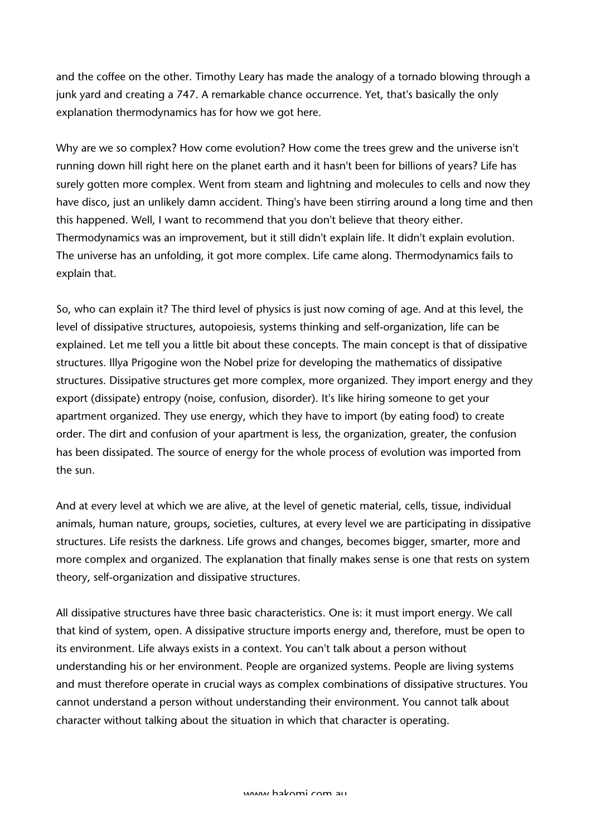and the coffee on the other. Timothy Leary has made the analogy of a tornado blowing through a junk yard and creating a 747. A remarkable chance occurrence. Yet, that's basically the only explanation thermodynamics has for how we got here.

Why are we so complex? How come evolution? How come the trees grew and the universe isn't running down hill right here on the planet earth and it hasn't been for billions of years? Life has surely gotten more complex. Went from steam and lightning and molecules to cells and now they have disco, just an unlikely damn accident. Thing's have been stirring around a long time and then this happened. Well, I want to recommend that you don't believe that theory either. Thermodynamics was an improvement, but it still didn't explain life. It didn't explain evolution. The universe has an unfolding, it got more complex. Life came along. Thermodynamics fails to explain that.

So, who can explain it? The third level of physics is just now coming of age. And at this level, the level of dissipative structures, autopoiesis, systems thinking and self-organization, life can be explained. Let me tell you a little bit about these concepts. The main concept is that of dissipative structures. Illya Prigogine won the Nobel prize for developing the mathematics of dissipative structures. Dissipative structures get more complex, more organized. They import energy and they export (dissipate) entropy (noise, confusion, disorder). It's like hiring someone to get your apartment organized. They use energy, which they have to import (by eating food) to create order. The dirt and confusion of your apartment is less, the organization, greater, the confusion has been dissipated. The source of energy for the whole process of evolution was imported from the sun.

And at every level at which we are alive, at the level of genetic material, cells, tissue, individual animals, human nature, groups, societies, cultures, at every level we are participating in dissipative structures. Life resists the darkness. Life grows and changes, becomes bigger, smarter, more and more complex and organized. The explanation that finally makes sense is one that rests on system theory, self-organization and dissipative structures.

All dissipative structures have three basic characteristics. One is: it must import energy. We call that kind of system, open. A dissipative structure imports energy and, therefore, must be open to its environment. Life always exists in a context. You can't talk about a person without understanding his or her environment. People are organized systems. People are living systems and must therefore operate in crucial ways as complex combinations of dissipative structures. You cannot understand a person without understanding their environment. You cannot talk about character without talking about the situation in which that character is operating.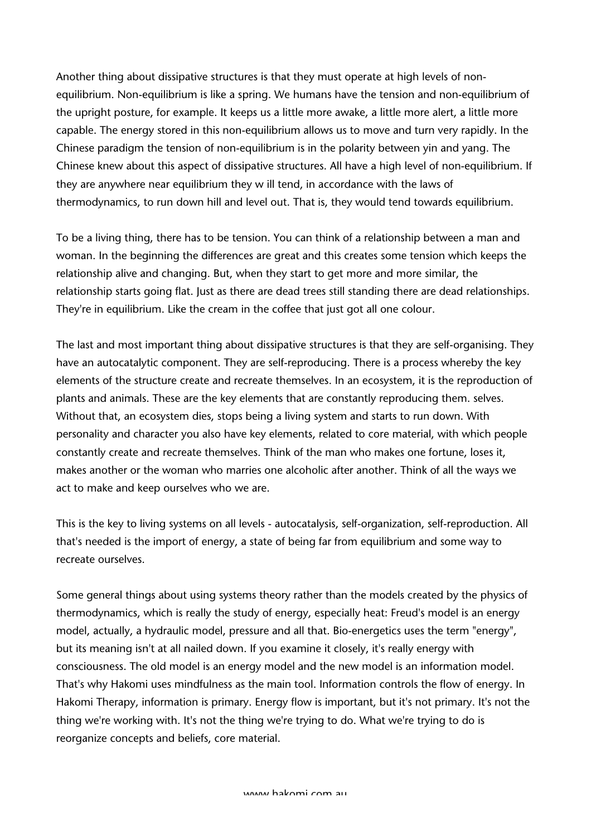Another thing about dissipative structures is that they must operate at high levels of nonequilibrium. Non-equilibrium is like a spring. We humans have the tension and non-equilibrium of the upright posture, for example. It keeps us a little more awake, a little more alert, a little more capable. The energy stored in this non-equilibrium allows us to move and turn very rapidly. In the Chinese paradigm the tension of non-equilibrium is in the polarity between yin and yang. The Chinese knew about this aspect of dissipative structures. All have a high level of non-equilibrium. If they are anywhere near equilibrium they w ill tend, in accordance with the laws of thermodynamics, to run down hill and level out. That is, they would tend towards equilibrium.

To be a living thing, there has to be tension. You can think of a relationship between a man and woman. In the beginning the differences are great and this creates some tension which keeps the relationship alive and changing. But, when they start to get more and more similar, the relationship starts going flat. Just as there are dead trees still standing there are dead relationships. They're in equilibrium. Like the cream in the coffee that just got all one colour.

The last and most important thing about dissipative structures is that they are self-organising. They have an autocatalytic component. They are self-reproducing. There is a process whereby the key elements of the structure create and recreate themselves. In an ecosystem, it is the reproduction of plants and animals. These are the key elements that are constantly reproducing them. selves. Without that, an ecosystem dies, stops being a living system and starts to run down. With personality and character you also have key elements, related to core material, with which people constantly create and recreate themselves. Think of the man who makes one fortune, loses it, makes another or the woman who marries one alcoholic after another. Think of all the ways we act to make and keep ourselves who we are.

This is the key to living systems on all levels - autocatalysis, self-organization, self-reproduction. All that's needed is the import of energy, a state of being far from equilibrium and some way to recreate ourselves.

Some general things about using systems theory rather than the models created by the physics of thermodynamics, which is really the study of energy, especially heat: Freud's model is an energy model, actually, a hydraulic model, pressure and all that. Bio-energetics uses the term "energy", but its meaning isn't at all nailed down. If you examine it closely, it's really energy with consciousness. The old model is an energy model and the new model is an information model. That's why Hakomi uses mindfulness as the main tool. Information controls the flow of energy. In Hakomi Therapy, information is primary. Energy flow is important, but it's not primary. It's not the thing we're working with. It's not the thing we're trying to do. What we're trying to do is reorganize concepts and beliefs, core material.